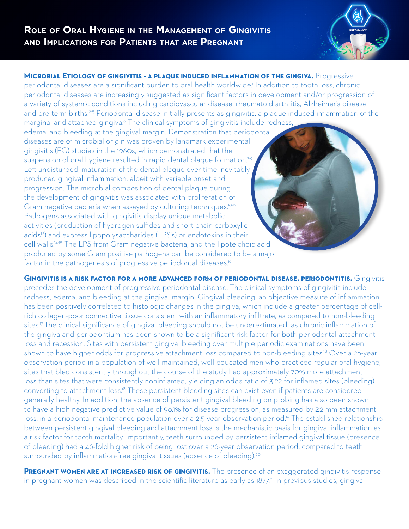

**Microbial Etiology of gingivitis - a plaque induced inflammation of the gingiva.** Progressive periodontal diseases are a significant burden to oral health worldwide.<sup>1</sup> In addition to tooth loss, chronic periodontal diseases are increasingly suggested as significant factors in development and/or progression of a variety of systemic conditions including cardiovascular disease, rheumatoid arthritis, Alzheimer's disease and pre-term births.<sup>2-5</sup> Periodontal disease initially presents as gingivitis, a plaque induced inflammation of the marginal and attached gingiva.<sup>6</sup> The clinical symptoms of gingivitis include redness,

edema, and bleeding at the gingival margin. Demonstration that periodontal diseases are of microbial origin was proven by landmark experimental gingivitis (EG) studies in the 1960s, which demonstrated that the suspension of oral hygiene resulted in rapid dental plaque formation.<sup>7-9</sup> Left undisturbed, maturation of the dental plaque over time inevitably produced gingival inflammation, albeit with variable onset and progression. The microbial composition of dental plaque during the development of gingivitis was associated with proliferation of Gram negative bacteria when assayed by culturing techniques.<sup>10-12</sup> Pathogens associated with gingivitis display unique metabolic activities (production of hydrogen sulfides and short chain carboxylic acids<sup>13</sup>) and express lipopolysaccharides (LPS's) or endotoxins in their cell walls.14-15 The LPS from Gram negative bacteria, and the lipoteichoic acid produced by some Gram positive pathogens can be considered to be a major factor in the pathogenesis of progressive periodontal diseases.<sup>16</sup>

**Gingivitis is a risk factor for a more advanced form of periodontal disease, periodontitis.** Gingivitis precedes the development of progressive periodontal disease. The clinical symptoms of gingivitis include redness, edema, and bleeding at the gingival margin. Gingival bleeding, an objective measure of inflammation has been positively correlated to histologic changes in the gingiva, which include a greater percentage of cellrich collagen-poor connective tissue consistent with an inflammatory infiltrate, as compared to non-bleeding sites.<sup>17</sup> The clinical significance of gingival bleeding should not be underestimated, as chronic inflammation of the gingiva and periodontium has been shown to be a significant risk factor for both periodontal attachment loss and recession. Sites with persistent gingival bleeding over multiple periodic examinations have been shown to have higher odds for progressive attachment loss compared to non-bleeding sites.<sup>18</sup> Over a 26-year observation period in a population of well-maintained, well-educated men who practiced regular oral hygiene, sites that bled consistently throughout the course of the study had approximately 70% more attachment loss than sites that were consistently noninflamed, yielding an odds ratio of 3.22 for inflamed sites (bleeding) converting to attachment loss.18 These persistent bleeding sites can exist even if patients are considered generally healthy. In addition, the absence of persistent gingival bleeding on probing has also been shown to have a high negative predictive value of 98.1% for disease progression, as measured by ≥2 mm attachment loss, in a periodontal maintenance population over a 2.5-year observation period.<sup>19</sup> The established relationship between persistent gingival bleeding and attachment loss is the mechanistic basis for gingival inflammation as a risk factor for tooth mortality. Importantly, teeth surrounded by persistent inflamed gingival tissue (presence of bleeding) had a 46-fold higher risk of being lost over a 26-year observation period, compared to teeth surrounded by inflammation-free gingival tissues (absence of bleeding).<sup>20</sup>

**PREGNANT WOMEN ARE AT INCREASED RISK OF GINGIVITIS.** The presence of an exaggerated gingivitis response in pregnant women was described in the scientific literature as early as 1877.<sup>21</sup> In previous studies, gingival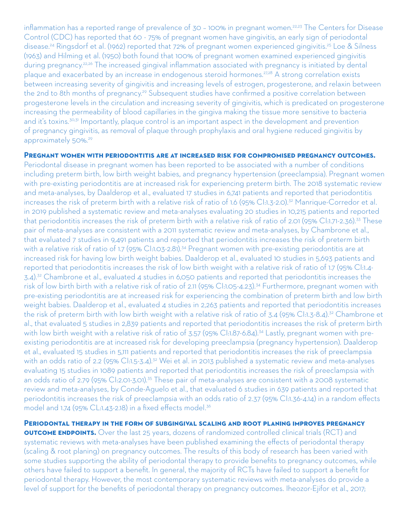inflammation has a reported range of prevalence of 30 - 100% in pregnant women.<sup>22,23</sup> The Centers for Disease Control (CDC) has reported that 60 - 75% of pregnant women have gingivitis, an early sign of periodontal disease.<sup>24</sup> Ringsdorf et al. (1962) reported that 72% of pregnant women experienced gingivitis.<sup>25</sup> Loe & Silness (1963) and Hilming et al. (1950) both found that 100% of pregnant women examined experienced gingivitis during pregnancy.<sup>22,26</sup> The increased gingival inflammation associated with pregnancy is initiated by dental plaque and exacerbated by an increase in endogenous steroid hormones.27,28 A strong correlation exists between increasing severity of gingivitis and increasing levels of estrogen, progesterone, and relaxin between the 2nd to 8th months of pregnancy.<sup>29</sup> Subsequent studies have confirmed a positive correlation between progesterone levels in the circulation and increasing severity of gingivitis, which is predicated on progesterone increasing the permeability of blood capillaries in the gingiva making the tissue more sensitive to bacteria and it's toxins.<sup>30,31</sup> Importantly, plaque control is an important aspect in the development and prevention of pregnancy gingivitis, as removal of plaque through prophylaxis and oral hygiene reduced gingivitis by approximately 50%.<sup>29</sup>

**Pregnant women with periodontitis are at increased risk for compromised pregnancy outcomes.** 

Periodontal disease in pregnant women has been reported to be associated with a number of conditions including preterm birth, low birth weight babies, and pregnancy hypertension (preeclampsia). Pregnant women with pre-existing periodontitis are at increased risk for experiencing preterm birth. The 2018 systematic review and meta-analyses, by Daalderop et al., evaluated 17 studies in 6,741 patients and reported that periodontitis increases the risk of preterm birth with a relative risk of ratio of 1.6 (95% Cl:1.3-2.0).<sup>32</sup> Manrique-Corredor et al. in 2019 published a systematic review and meta-analyses evaluating 20 studies in 10,215 patients and reported that periodontitis increases the risk of preterm birth with a relative risk of ratio of 2.01 (95% CI:1.71-2.36).<sup>33</sup> These pair of meta-analyses are consistent with a 2011 systematic review and meta-analyses, by Chambrone et al., that evaluated 7 studies in 9,491 patients and reported that periodontitis increases the risk of preterm birth with a relative risk of ratio of 1.7 (95% Cl:1.03-2.81).<sup>34</sup> Pregnant women with pre-existing periodontitis are at increased risk for having low birth weight babies. Daalderop et al., evaluated 10 studies in 5,693 patients and reported that periodontitis increases the risk of low birth weight with a relative risk of ratio of 1.7 (95% CI:1.4- 3.4).32 Chambrone et al., evaluated 4 studies in 6,050 patients and reported that periodontitis increases the risk of low birth birth with a relative risk of ratio of 2.11 (95% CI:1.05-4.23).34 Furthermore, pregnant women with pre-existing periodontitis are at increased risk for experiencing the combination of preterm birth and low birth weight babies. Daalderop et al., evaluated 4 studies in 2,263 patients and reported that periodontitis increases the risk of preterm birth with low birth weight with a relative risk of ratio of 3.4 (95% Cl:1.3-8.4).<sup>32</sup> Chambrone et al., that evaluated 5 studies in 2,839 patients and reported that periodontitis increases the risk of preterm birth with low birth weight with a relative risk of ratio of 3.57 (95% Cl:1.87-6.84).<sup>34</sup> Lastly, pregnant women with preexisting periodontitis are at increased risk for developing preeclampsia (pregnancy hypertension). Daalderop et al., evaluated 15 studies in 5,111 patients and reported that periodontitis increases the risk of preeclampsia with an odds ratio of 2.2 (95% CI:1.5-3.4).<sup>32</sup> Wei et al. in 2013 published a systematic review and meta-analyses evaluating 15 studies in 1089 patients and reported that periodontitis increases the risk of preeclampsia with an odds ratio of 2.79 (95% CI:2.01-3.01).<sup>35</sup> These pair of meta-analyses are consistent with a 2008 systematic review and meta-analyses, by Conde-Aguelo et al., that evaluated 6 studies in 639 patients and reported that periodontitis increases the risk of preeclampsia with an odds ratio of 2.37 (95% CI:1.36-4.14) in a random effects model and 1.74 (95% CL:1.43-2.18) in a fixed effects model.<sup>36</sup>

**Periodontal therapy in the form of subgingival scaling and root planing improves pregnancy OUTCOME ENDPOINTS.** Over the last 25 years, dozens of randomized controlled clinical trials (RCT) and systematic reviews with meta-analyses have been published examining the effects of periodontal therapy (scaling & root planing) on pregnancy outcomes. The results of this body of research has been varied with some studies supporting the ability of periodontal therapy to provide benefits to pregnancy outcomes, while others have failed to support a benefit. In general, the majority of RCTs have failed to support a benefit for periodontal therapy. However, the most contemporary systematic reviews with meta-analyses do provide a level of support for the benefits of periodontal therapy on pregnancy outcomes. Iheozor-Ejifor et al., 2017;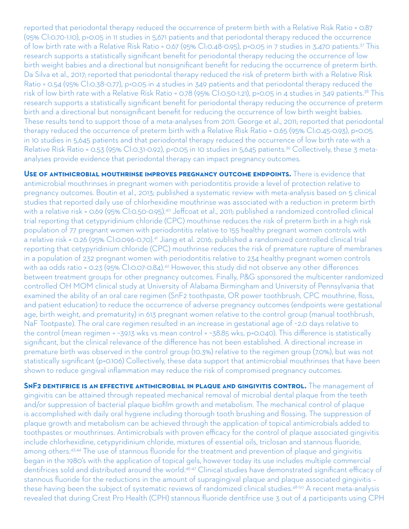reported that periodontal therapy reduced the occurrence of preterm birth with a Relative Risk Ratio = 0.87 (95% CI:0.70-1.10), p>0.05 in 11 studies in 5,671 patients and that periodontal therapy reduced the occurrence of low birth rate with a Relative Risk Ratio = 0.67 (95% CI:0.48-0.95), p<0.05 in 7 studies in 3,470 patients.<sup>37</sup> This research supports a statistically significant benefit for periodontal therapy reducing the occurrence of low birth weight babies and a directional but nonsignificant benefit for reducing the occurrence of preterm birth. Da Silva et al., 2017; reported that periodontal therapy reduced the risk of preterm birth with a Relative Risk Ratio = 0.54 (95% CI:0.38-0.77), p<0.05 in 4 studies in 349 patients and that periodontal therapy reduced the risk of low birth rate with a Relative Risk Ratio = 0.78 (95% CI:0.50-1.21), p>0.05 in 4 studies in 349 patients.38 This research supports a statistically significant benefit for periodontal therapy reducing the occurrence of preterm birth and a directional but nonsignificant benefit for reducing the occurrence of low birth weight babies. These results tend to support those of a meta-analyses from 2011. George et al., 2011; reported that periodontal therapy reduced the occurrence of preterm birth with a Relative Risk Ratio = 0.65 (95% CI:0.45-0.93), p<0.05 in 10 studies in 5,645 patients and that periodontal therapy reduced the occurrence of low birth rate with a Relative Risk Ratio = 0.53 (95% CI:0.31-0.92), p<0.05 in 10 studies in 5,645 patients.<sup>39</sup> Collectively, these 3 metaanalyses provide evidence that periodontal therapy can impact pregnancy outcomes.

**Use of antimicrobial mouthrinse improves pregnancy outcome endpoints.** There is evidence that antimicrobial mouthrinses in pregnant women with periodontitis provide a level of protection relative to pregnancy outcomes. Boutin et al., 2013; published a systematic review with meta-analysis based on 5 clinical studies that reported daily use of chlorhexidine mouthrinse was associated with a reduction in preterm birth with a relative risk = 0.69 (95% CI:0.50-0.95).<sup>40</sup> Jeffcoat et al., 2011; published a randomized controlled clinical trial reporting that cetypyridinium chloride (CPC) mouthinse reduces the risk of preterm birth in a high risk population of 77 pregnant women with periodontitis relative to 155 healthy pregnant women controls with a relative risk = 0.26 (95% CI:0.096-0.70).<sup>41</sup> Jiang et al. 2016; published a randomized controlled clinical trial reporting that cetypyridinium chloride (CPC) mouthrinse reduces the risk of premature rupture of membranes in a population of 232 pregnant women with periodontitis relative to 234 healthy pregnant women controls with aa odds ratio = 0.23 (95% CI:0.07-0.84).<sup>42</sup> However, this study did not observe any other differences between treatment groups for other pregnancy outcomes. Finally, P&G sponsored the multicenter randomized controlled OH MOM clinical study at University of Alabama Birmingham and University of Pennsylvania that examined the ability of an oral care regimen (SnF2 toothpaste, OR power toothbrush, CPC mouthrine, floss, and patient education) to reduce the occurrence of adverse pregnancy outcomes (endpoints were gestational age, birth weight, and prematurity) in 613 pregnant women relative to the control group (manual toothbrush, NaF Tootpaste). The oral care regimen resulted in an increase in gestational age of ~2.0 days relative to the control (mean regimen = ~39.13 wks vs mean control = ~38.85 wks, p=0.040). This difference is statistically significant, but the clinical relevance of the difference has not been established. A directional increase in premature birth was observed in the control group (10.3%) relative to the regimen group (7.0%), but was not statistically significant (p=0.106) Collectively, these data support that antimicrobial mouthrinses that have been shown to reduce gingival inflammation may reduce the risk of compromised pregnancy outcomes.

**SnF2 dentifrice is an effective antimicrobial in plaque and gingivitis control.** The management of gingivitis can be attained through repeated mechanical removal of microbial dental plaque from the teeth and/or suppression of bacterial plaque biofilm growth and metabolism. The mechanical control of plaque is accomplished with daily oral hygiene including thorough tooth brushing and flossing. The suppression of plaque growth and metabolism can be achieved through the application of topical antimicrobials added to toothpastes or mouthrinses. Antimicrobials with proven efficacy for the control of plaque associated gingivitis include chlorhexidine, cetypyridinium chloride, mixtures of essential oils, triclosan and stannous fluoride, among others.<sup>43,44</sup> The use of stannous fluoride for the treatment and prevention of plaque and gingivitis began in the 1980's with the application of topical gels, however today its use includes multiple commercial dentifrices sold and distributed around the world.<sup>45-47</sup> Clinical studies have demonstrated significant efficacy of stannous fluoride for the reductions in the amount of supragingival plaque and plaque associated gingivitis – these having been the subject of systematic reviews of randomized clinical studies.48-50 A recent meta-analysis revealed that during Crest Pro Health (CPH) stannous fluoride dentifrice use 3 out of 4 participants using CPH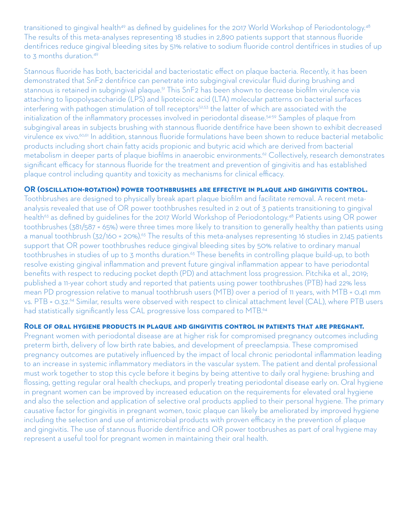transitioned to gingival health<sup>49</sup> as defined by guidelines for the 2017 World Workshop of Periodontology.<sup>48</sup> The results of this meta-analyses representing 18 studies in 2,890 patients support that stannous fluoride dentifrices reduce gingival bleeding sites by 51% relative to sodium fluoride control dentifrices in studies of up to 3 months duration.<sup>49</sup>

Stannous fluoride has both, bactericidal and bacteriostatic effect on plaque bacteria. Recently, it has been demonstrated that SnF2 dentifrice can penetrate into subgingival crevicular fluid during brushing and stannous is retained in subgingival plaque.<sup>51</sup> This SnF2 has been shown to decrease biofilm virulence via attaching to lipopolysaccharide (LPS) and lipoteicoic acid (LTA) molecular patterns on bacterial surfaces interfering with pathogen stimulation of toll receptors<sup>52,53</sup> the latter of which are associated with the initialization of the inflammatory processes involved in periodontal disease.<sup>54-59</sup> Samples of plaque from subgingival areas in subjects brushing with stannous fluoride dentifrice have been shown to exhibit decreased virulence ex vivo.<sup>60,61</sup> In addition, stannous fluoride formulations have been shown to reduce bacterial metabolic products including short chain fatty acids propionic and butyric acid which are derived from bacterial metabolism in deeper parts of plaque biofilms in anaerobic environments.<sup>62</sup> Collectively, research demonstrates significant efficacy for stannous fluoride for the treatment and prevention of gingivitis and has established plaque control including quantity and toxicity as mechanisms for clinical efficacy.

## **OR (oscillation-rotation) power toothbrushes are effective in plaque and gingivitis control.**

Toothbrushes are designed to physically break apart plaque biofilm and facilitate removal. A recent metaanalysis revealed that use of OR power toothbrushes resulted in 2 out of 3 patients transitioning to gingival health<sup>63</sup> as defined by quidelines for the 2017 World Workshop of Periodontology.<sup>48</sup> Patients using OR power toothbrushes (381/587 = 65%) were three times more likely to transition to generally healthy than patients using a manual toothbrush (32/160 = 20%).<sup>63</sup> The results of this meta-analyses representing 16 studies in 2,145 patients support that OR power toothbrushes reduce gingival bleeding sites by 50% relative to ordinary manual toothbrushes in studies of up to 3 months duration.<sup>63</sup> These benefits in controlling plaque build-up, to both resolve existing gingival inflammation and prevent future gingival inflammation appear to have periodontal benefits with respect to reducing pocket depth (PD) and attachment loss progression. Pitchika et al., 2019; published a 11-year cohort study and reported that patients using power toothbrushes (PTB) had 22% less mean PD progression relative to manual toothbrush users (MTB) over a period of 11 years, with MTB = 0.41 mm vs. PTB = 0.32.<sup>64</sup> Similar, results were observed with respect to clinical attachment level (CAL), where PTB users had statistically significantly less CAL progressive loss compared to MTB.<sup>64</sup>

## **Role of oral hygiene products in plaque and gingivitis control in patients that are pregnant.**

Pregnant women with periodontal disease are at higher risk for compromised pregnancy outcomes including preterm birth, delivery of low birth rate babies, and development of preeclampsia. These compromised pregnancy outcomes are putatively influenced by the impact of local chronic periodontal inflammation leading to an increase in systemic inflammatory mediators in the vascular system. The patient and dental professional must work together to stop this cycle before it begins by being attentive to daily oral hygiene: brushing and flossing, getting regular oral health checkups, and properly treating periodontal disease early on. Oral hygiene in pregnant women can be improved by increased education on the requirements for elevated oral hygiene and also the selection and application of selective oral products applied to their personal hygiene. The primary causative factor for gingivitis in pregnant women, toxic plaque can likely be ameliorated by improved hygiene including the selection and use of antimicrobial products with proven efficacy in the prevention of plaque and gingivitis. The use of stannous fluoride dentifrice and OR power tootbrushes as part of oral hygiene may represent a useful tool for pregnant women in maintaining their oral health.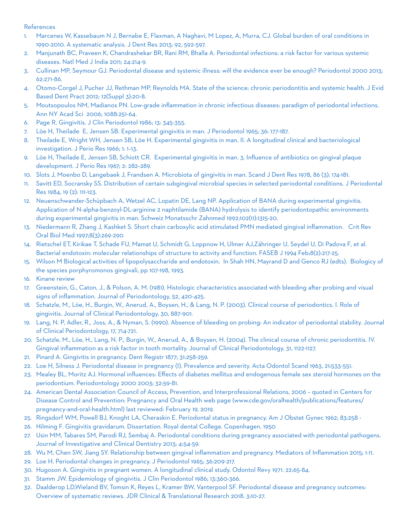## References

- 1. Marcenes W, Kassebaum N J, Bernabe E, Flaxman, A Naghavi, M Lopez, A, Murra, CJ. Global burden of oral conditions in 1990-2010. A systematic analysis. J Dent Res 2013; 92, 592-597.
- 2. Manjunath BC, Praveen K, Chandrashekar BR, Rani RM, Bhalla A. Periodontal infections: a risk factor for various systemic diseases. Natl Med J India 2011; 24:214-9.
- 3. Cullinan MP, Seymour GJ. Periodontal disease and systemic illness: will the evidence ever be enough? Periodontol 2000 2013; 62:271-86.
- 4. Otomo-Corgel J, Pucher JJ, Rethman MP, Reynolds MA. State of the science: chronic periodontitis and systemic health. J Evid Based Dent Pract 2012; 12(Suppl 3):20-8.
- 5. Moutsopoulos NM, Madianos PN. Low-grade inflammation in chronic infectious diseases: paradigm of periodontal infections. Ann NY Acad Sci 2006; 1088:251-64.
- 6. Page R. Gingivitis. J Clin Periodontol 1986; 13: 345-355.
- 7. Löe H, Theilade E, Jensen SB. Experimental gingivitis in man. J Periodontol 1965; 36: 177-187.
- 8. Theilade E, Wright WH, Jensen SB, Löe H. Experimental gingivitis in man. II. A longitudinal clinical and bacteriological investigation. J Perio Res 1966; 1: 1–13.
- 9. Löe H, Theilade E, Jensen SB, Schiott CR. Experimental gingivitis in man. 3. Influence of antibiotics on gingival plaque development. J Perio Res 1967; 2: 282–289.
- 10. Slots J, Moenbo D, Langebaek J, Frandsen A. Microbiota of gingivitis in man. Scand J Dent Res 1978, 86 (3): 174-181.
- 11. Savitt ED, Socransky SS. Distribution of certain subgingival microbial species in selected periodontal conditions. J Periodontal Res 1984, 19 (2): 111-123.
- 12. Neuenschwander-Schüpbach A, Wetzel AC, Lopatin DE, Lang NP. Application of BANA during experimental gingivitis. Application of N-alpha-benzoyl-DL-arginine 2 naphtilamide (BANA) hydrolysis to identify periodontopathic environments during experimental gingivitis in man. Schweiz Monatsschr Zahnmed 1992;102(11):1315-20.
- 13. Niedermann R, Zhang J, Kashket S. Short chain carboxylic acid stimulated PMN mediated gingival inflammation. Crit Rev Oral Biol Med 1997;8(3):269-290
- 14. Rietschel ET, Kirikae T, Schade FU, Mamat U, Schmidt G, Loppnow H, Ulmer AJ,Zähringer U, Seydel U, Di Padova F, et al. Bacterial endotoxin: molecular relationships of structure to activity and function. FASEB J 1994 Feb;8(2):217-25.
- 15. Wilson M Biological activities of lipopolysaccharide and endotoxin. In Shah HN, Mayrand D and Genco RJ (edts). Biologicy of the species porphyromonos gingivali, pp 107-198, 1993.
- 16. Kinane review
- 17. Greenstein, G., Caton, J., & Polson, A. M. (1981). Histologic characteristics associated with bleeding after probing and visual signs of inflammation. Journal of Periodontology, 52, 420-425.
- 18. Schatzle, M., Löe, H., Burgin, W., Anerud, A., Boysen, H., & Lang, N. P. (2003). Clinical course of periodontics. I. Role of gingivitis. Journal of Clinical Periodontology, 30, 887-901.
- 19. Lang, N. P, Adler, R., Joss, A., & Nyman, S. (1990). Absence of bleeding on probing: An indicator of periodontal stability. Journal of Clinical Periodontology, 17, 714-721.
- 20. Schatzle, M., Löe, H., Lang, N. P., Burgin, W., Anerud, A., & Boysen, H. (2004). The clinical course of chronic periodontitis. IV. Gingival inflammation as a risk factor in tooth mortality. Journal of Clinical Periodontology, 31, 1122-1127.
- 21. Pinard A. Gingivitis in pregnancy. Dent Registr 1877; 31:258-259.
- 22. Loe H, Silness J. Periodontal disease in pregnancy (I). Prevalence and severity. Acta Odontol Scand 1963, 21:533-551.
- 23. Mealey BL, Moritz AJ. Hormonal influences: Effects of diabetes mellitus and endogenous female sex steroid hormones on the periodontium. Periodontology 2000 2003; 32:59-81.
- 24. American Dental Association Council of Access, Prevention, and Interprofessional Relations, 2006 quoted in Centers for Disease Control and Prevention: Pregnancy and Oral Health web page (www.cde.gov/oralhealth/publications/features/ pregnancy-and-oral-health.html) last reviewed: February 19, 2019.
- 25. Ringsdorf WM, Powell BJ, Knoght LA, Cheraskin E. Periodontal status in pregnancy. Am J Obstet Gynec 1962; 83:258 -
- 26. Hilming F. Gingivitis gravidarum. Dissertation. Royal dental College. Copenhagen. 1950
- 27. Usin MM, Tabares SM, Parodi RJ, Sembaj A. Periodontal conditions during pregnancy associated with periodontal pathogens. Journal of Investigative and Clinical Dentistry 2013; 4:54-59.
- 28. Wu M, Chen SW, Jiang SY. Relationship between gingival inflammation and pregnancy. Mediators of Inflammation 2015; 1-11.
- 29. Loe H. Periodontal changes in pregnancy. J Periodontol 1965; 36:209-217.
- 30. Hugoson A. Gingivitis in pregnant women. A longitudinal clinical study. Odontol Revy 1971. 22:65-84.
- 31. Stamm JW. Epidemiology of gingivitis. J Clin Periodontol 1986; 13:360-366.
- 32. Daalderop LD,Wieland BV, Tomsin K, Reyes L, Kramer BW, Vanterpool SF. Periodontal disease and pregnancy outcomes: Overview of systematic reviews. JDR Clinical & Translational Research 2018. 3:10-27.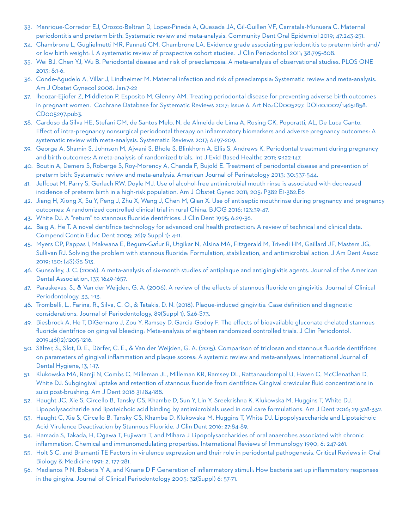- 33. Manrique-Corredor EJ, Orozco-Beltran D, Lopez-Pineda A, Quesada JA, Gil-Guillen VF, Carratala-Munuera C. Maternal periodontitis and preterm birth: Systematic review and meta-analysis. Community Dent Oral Epidemiol 2019; 47:243-251.
- 34. Chambrone L, Guglielmetti MR, Pannati CM, Chambrone LA. Evidence grade associating periodontitis to preterm birth and/ or low birth weight: I. A systematic review of prospective cohort studies. J Clin Periodontol 2011; 38:795-808.
- 35. Wei BJ, Chen YJ, Wu B. Periodontal disease and risk of preeclampsia: A meta-analysis of observational studies. PLOS ONE 2013; 8:1-6.
- 36. Conde-Agudelo A, Villar J, Lindheimer M. Maternal infection and risk of preeclampsia: Systematic review and meta-analysis. Am J Obstet Gynecol 2008; Jan:7-22
- 37. Iheozar-Ejiofer Z, Middleton P, Esposito M, Glenny AM. Treating periodontal disease for preventing adverse birth outcomes in pregnant women. Cochrane Database for Systematic Reviews 2017; Issue 6. Art No.:CD005297. DOI:10.1002/14651858. CD005297.pub3.
- 38. Cardoso da Silva HE, Stefani CM, de Santos Melo, N, de Almeida de Lima A, Rosing CK, Poporatti, AL, De Luca Canto. Effect of intra-pregnancy nonsurgical periodontal therapy on inflammatory biomarkers and adverse pregnancy outcomes: A systematic review with meta-analysis. Systematic Reviews 2017; 6:197-209.
- 39. George A, Shamin S, Johnson M, Ajwani S, Bhole S, Blinkhorn A, Ellis S, Andrews K. Periodontal treatment during pregnancy and birth outcomes: A meta-analysis of randomized trials. Int J Evid Based Healthc 2011; 9:122-147.
- 40. Boutin A, Demers S, Roberge S, Roy-Morency A, Chanda F, Bujold E. Treatment of periodontal disease and prevention of preterm bith: Systematic review and meta-analysis. American Journal of Perinatology 2013; 30:537-544.
- 41. Jeffcoat M, Parry S, Gerlach RW, Doyle MJ. Use of alcohol-free antimicrobial mouth rinse is associated with decreased incidence of preterm birth in a high-risk population. Am J Obstet Gynec 2011; 205: P382 E1-382.E6
- 42. Jiang H, Xiong X, Su Y, Peng J, Zhu X, Wang J, Chen M, Qian X. Use of antiseptic mouthrinse during pregnancy and pregnancy outcomes: A randomized controlled clinical trial in rural China. BJOG 2016; 123:39-47.
- 43. White DJ. A "return" to stannous fluoride dentifrices. J Clin Dent 1995; 6:29-36.
- 44. Baig A, He T. A novel dentifrice technology for advanced oral health protection: A review of technical and clinical data. Compend Contin Educ Dent 2005; 26(9 Suppl 1): 4-11.
- 45. Myers CP, Pappas I, Makwana E, Begum-Gafur R, Utgikar N, Alsina MA, Fitzgerald M, Trivedi HM, Gaillard JF, Masters JG, Sullivan RJ. Solving the problem with stannous fluoride: Formulation, stabilization, and antimicrobial action. J Am Dent Assoc 2019; 150: (4S):S5-S13.
- 46. Gunsolley, J. C. (2006). A meta-analysis of six-month studies of antiplaque and antigingivitis agents. Journal of the American Dental Association, 137, 1649-1657.
- 47. Paraskevas, S., & Van der Weijden, G. A. (2006). A review of the effects of stannous fluoride on gingivitis. Journal of Clinical Periodontology, 33, 1-13.
- 48. Trombelli, L., Farina, R., Silva, C. O., & Tatakis, D. N. (2018). Plaque-induced gingivitis: Case definition and diagnostic considerations. Journal of Periodontology, 89(Suppl 1), S46-S73.
- 49. Biesbrock A, He T, DiGennaro J, Zou Y, Ramsey D, Garcia-Godoy F. The effects of bioavailable gluconate chelated stannous fluoride dentifrice on gingival bleeding: Meta-analysis of eighteen randomized controlled trials. J Clin Periodontol. 2019;46(12):1205-1216.
- 50. Sälzer, S., Slot, D. E., Dörfer, C. E., & Van der Weijden, G. A. (2015). Comparison of triclosan and stannous fluoride dentifrices on parameters of gingival inflammation and plaque scores: A systemic review and meta-analyses. International Journal of Dental Hygiene, 13, 1-17.
- 51. Klukowska MA, Ramji N, Combs C, Milleman JL, Milleman KR, Ramsey DL, Rattanaudompol U, Haven C, McClenathan D, White DJ. Subgingival uptake and retention of stannous fluoride from dentifrice: Gingival crevicular fluid concentrations in sulci post-brushing. Am J Dent 2018 31:184-188.
- 52. Haught JC, Xie S, Circello B, Tansky CS, Khambe D, Sun Y, Lin Y, Sreekrishna K, Klukowska M, Huggins T, White DJ. Lipopolysaccharide and lipoteichoic acid binding by antimicrobials used in oral care formulations. Am J Dent 2016; 29:328-332.
- 53. Haught C, Xie S, Circello B, Tansky CS, Khambe D, Klukowska M, Huggins T, White DJ. Lipopolysaccharide and Lipoteichoic Acid Virulence Deactivation by Stannous Fluoride. J Clin Dent 2016; 27:84-89.
- 54. Hamada S, Takada, H, Ogawa T, Fujiwara T, and Mihara J Lipopolysaccharides of oral anaerobes associated with chronic inflammation: Chemical and immunomodulating properties. International Reviews of Immunology 1990; 6: 247-261.
- 55. Holt S C. and Bramanti TE Factors in virulence expression and their role in periodontal pathogenesis. Critical Reviews in Oral Biology & Medicine 1991; 2, 177-281.
- 56. Madianos P N, Bobetis Y A, and Kinane D F Generation of inflammatory stimuli: How bacteria set up inflammatory responses in the gingiva. Journal of Clinical Periodontology 2005; 32(Suppl) 6: 57-71.